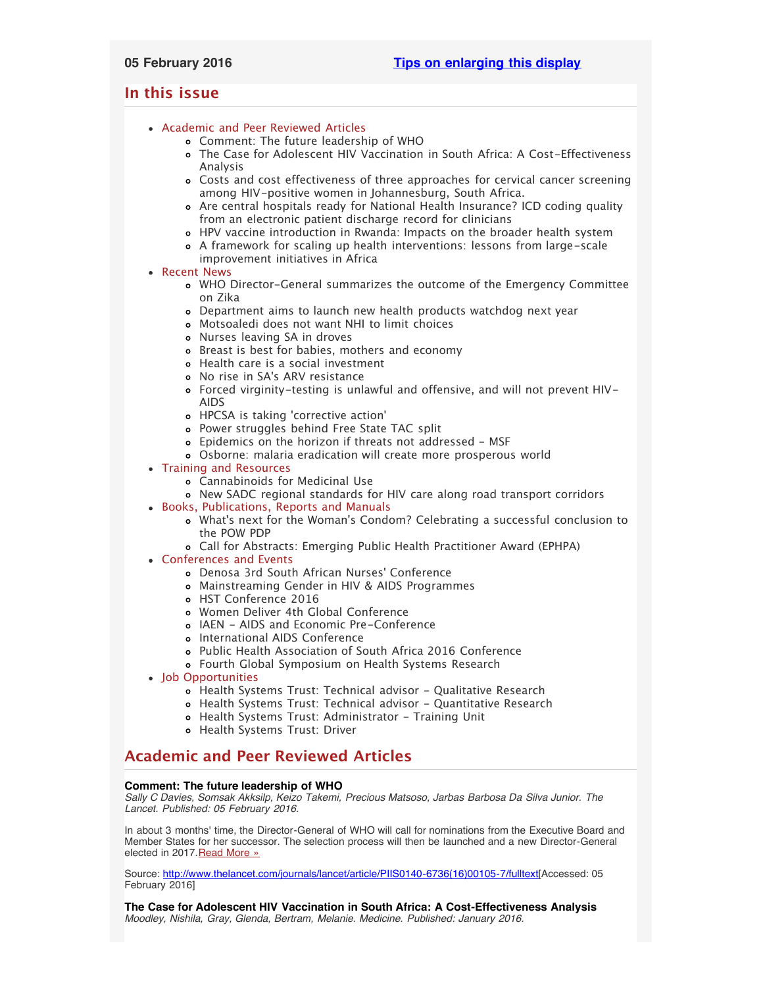# <span id="page-0-3"></span><span id="page-0-2"></span>**In this issue**

# [Academic and Peer Reviewed Articles](#page-0-0)

- [Comment: The future leadership of WHO](#page-0-1)
- [The Case for Adolescent HIV Vaccination in South Africa: A Cost-Effectiveness](#page-1-0) [Analysis](#page-1-0)
- [Costs and cost effectiveness of three approaches for cervical cancer screening](#page-1-0) [among HIV-positive women in Johannesburg, South Africa.](#page-1-0)
- [Are central hospitals ready for National Health Insurance? ICD coding quality](#page-1-0) [from an electronic patient discharge record for clinicians](#page-1-0)
- [HPV vaccine introduction in Rwanda: Impacts on the broader health system](#page-1-0)
- [A framework for scaling up health interventions: lessons from large-scale](#page-1-0) [improvement initiatives in Africa](#page-1-0)

# [Recent News](#page-1-1)

- [WHO Director-General summarizes the outcome of the Emergency Committee](#page-2-0) [on Zika](#page-2-0)
- [Department aims to launch new health products watchdog next year](#page-2-0)
- [Motsoaledi does not want NHI to limit choices](#page-2-1)
- [Nurses leaving SA in droves](#page-2-2)
- o [Breast is best for babies, mothers and economy](#page-2-3)
- [Health care is a social investment](#page-2-4)
- No rise in SA['s ARV resistance](#page-2-3)
- [Forced virginity-testing is unlawful and offensive, and will not prevent HIV-](#page-3-0)[AIDS](#page-3-0)
- HPCSA is taking ['corrective action'](#page-3-0)
- [Power struggles behind Free State TAC split](#page-3-0)
- [Epidemics on the horizon if threats not addressed MSF](#page-3-0)
- [Osborne: malaria eradication will create more prosperous world](#page-3-0)
- [Training and Resources](#page-5-0)
	- [Cannabinoids for Medicinal Use](#page-3-1)
	- [New SADC regional standards for HIV care along road transport corridors](#page-3-1)
- [Books, Publications, Reports and Manuals](#page-3-2)
	- What['s next for the Woman's Condom? Celebrating a successful conclusion to](#page-4-0) [the POW PDP](#page-4-0)
	- [Call for Abstracts: Emerging Public Health Practitioner Award \(EPHPA\)](#page-4-0)
- [Conferences and Events](#page-4-1)
	- [Denosa 3rd South African Nurses](#page-5-1)' Conference
	- [Mainstreaming Gender in HIV & AIDS Programmes](#page-5-1)
	- [HST Conference 2016](#page-5-1)
	- [Women Deliver 4th Global Conference](#page-5-1)
	- [IAEN AIDS and Economic Pre-Conference](#page-5-1)
	- o [International AIDS Conference](#page-5-1)
	- [Public Health Association of South Africa 2016 Conference](#page-5-1)
	- [Fourth Global Symposium on Health Systems Research](#page-0-2)
- [Job Opportunities](#page-0-2)
	- o [Health Systems Trust: Technical advisor Qualitative Research](#page-5-2)
	- [Health Systems Trust: Technical advisor Quantitative Research](#page-5-3)
	- o [Health Systems Trust: Administrator Training Unit](#page-5-3)
	- [Health Systems Trust: Driver](#page-5-3)

# <span id="page-0-0"></span>**Academic and Peer Reviewed Articles**

# <span id="page-0-1"></span>**Comment: The future leadership of WHO**

*Sally C Davies, Somsak Akksilp, Keizo Takemi, Precious Matsoso, Jarbas Barbosa Da Silva Junior. The Lancet. Published: 05 February 2016.*

In about 3 months' time, the Director-General of WHO will call for nominations from the Executive Board and Member States for her successor. The selection process will then be launched and a new Director-General elected in 2017.[Read More »](http://www.thelancet.com/journals/lancet/article/PIIS0140-6736(16)00105-7/fulltext)

Source: [http://www.thelancet.com/journals/lancet/article/PIIS0140-6736\(16\)00105-7/fulltext\[](http://www.thelancet.com/journals/lancet/article/PIIS0140-6736(16)00105-7/fulltext)Accessed: 05 February 2016]

**The Case for Adolescent HIV Vaccination in South Africa: A Cost-Effectiveness Analysis** *Moodley, Nishila, Gray, Glenda, Bertram, Melanie. Medicine. Published: January 2016.*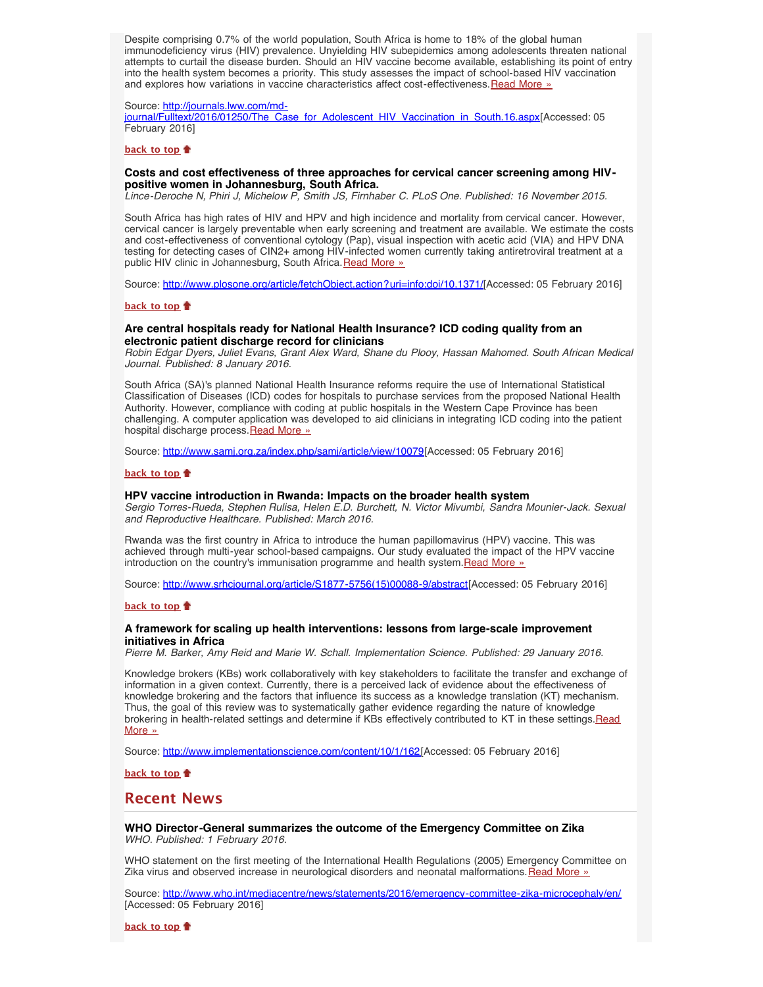Despite comprising 0.7% of the world population, South Africa is home to 18% of the global human immunodeficiency virus (HIV) prevalence. Unyielding HIV subepidemics among adolescents threaten national attempts to curtail the disease burden. Should an HIV vaccine become available, establishing its point of entry into the health system becomes a priority. This study assesses the impact of school-based HIV vaccination and explores how variations in vaccine characteristics affect cost-effectiveness. [Read More »](http://journals.lww.com/md-journal/Fulltext/2016/01250/The_Case_for_Adolescent_HIV_Vaccination_in_South.16.aspx)

#### Source: [http://journals.lww.com/md-](http://journals.lww.com/md-journal/Fulltext/2016/01250/The_Case_for_Adolescent_HIV_Vaccination_in_South.16.aspx)

[journal/Fulltext/2016/01250/The\\_Case\\_for\\_Adolescent\\_HIV\\_Vaccination\\_in\\_South.16.aspx\[](http://journals.lww.com/md-journal/Fulltext/2016/01250/The_Case_for_Adolescent_HIV_Vaccination_in_South.16.aspx)Accessed: 05 February 2016]

### **[back to top](#page-0-3)**

## **Costs and cost effectiveness of three approaches for cervical cancer screening among HIVpositive women in Johannesburg, South Africa.**

*Lince-Deroche N, Phiri J, Michelow P, Smith JS, Firnhaber C. PLoS One. Published: 16 November 2015.*

South Africa has high rates of HIV and HPV and high incidence and mortality from cervical cancer. However, cervical cancer is largely preventable when early screening and treatment are available. We estimate the costs and cost-effectiveness of conventional cytology (Pap), visual inspection with acetic acid (VIA) and HPV DNA testing for detecting cases of CIN2+ among HIV-infected women currently taking antiretroviral treatment at a public HIV clinic in Johannesburg, South Africa. [Read More »](http://www.plosone.org/article/fetchObject.action?uri=info:doi/10.1371/journal.pone.0141969&representation=PDF)

Source: [http://www.plosone.org/article/fetchObject.action?uri=info:doi/10.1371/](http://www.plosone.org/article/fetchObject.action?uri=info:doi/10.1371/journal.pone.0141969&representation=PDF)[Accessed: 05 February 2016]

### **[back to top](#page-0-3)**

# **Are central hospitals ready for National Health Insurance? ICD coding quality from an electronic patient discharge record for clinicians**

*Robin Edgar Dyers, Juliet Evans, Grant Alex Ward, Shane du Plooy, Hassan Mahomed. South African Medical Journal. Published: 8 January 2016.*

South Africa (SA)'s planned National Health Insurance reforms require the use of International Statistical Classification of Diseases (ICD) codes for hospitals to purchase services from the proposed National Health Authority. However, compliance with coding at public hospitals in the Western Cape Province has been challenging. A computer application was developed to aid clinicians in integrating ICD coding into the patient hospital discharge process. [Read More »](http://www.samj.org.za/index.php/samj/article/view/10079)

Source: [http://www.samj.org.za/index.php/samj/article/view/10079\[](http://www.samj.org.za/index.php/samj/article/view/10079)Accessed: 05 February 2016]

## **[back to top](#page-0-3)**

#### **HPV vaccine introduction in Rwanda: Impacts on the broader health system**

*Sergio Torres-Rueda, Stephen Rulisa, Helen E.D. Burchett, N. Victor Mivumbi, Sandra Mounier-Jack. Sexual and Reproductive Healthcare. Published: March 2016.*

Rwanda was the first country in Africa to introduce the human papillomavirus (HPV) vaccine. This was achieved through multi-year school-based campaigns. Our study evaluated the impact of the HPV vaccine introduction on the country's immunisation programme and health system. Read More »

Source: [http://www.srhcjournal.org/article/S1877-5756\(15\)00088-9/abstract](http://www.srhcjournal.org/article/S1877-5756(15)00088-9/abstract)[Accessed: 05 February 2016]

#### **[back to top](#page-0-3)**

## <span id="page-1-0"></span>**A framework for scaling up health interventions: lessons from large-scale improvement initiatives in Africa**

*Pierre M. Barker, Amy Reid and Marie W. Schall. Implementation Science. Published: 29 January 2016.*

Knowledge brokers (KBs) work collaboratively with key stakeholders to facilitate the transfer and exchange of information in a given context. Currently, there is a perceived lack of evidence about the effectiveness of knowledge brokering and the factors that influence its success as a knowledge translation (KT) mechanism. Thus, the goal of this review was to systematically gather evidence regarding the nature of knowledge brokering in health-related settings and determine if KBs effectively contributed to KT in these settings. [Read](http://www.implementationscience.com/content/10/1/162) [More »](http://www.implementationscience.com/content/10/1/162)

Source: [http://www.implementationscience.com/content/10/1/162\[](http://www.implementationscience.com/content/10/1/162)Accessed: 05 February 2016]

**[back to top](#page-0-3)**

# <span id="page-1-1"></span>**Recent News**

**WHO Director-General summarizes the outcome of the Emergency Committee on Zika** *WHO. Published: 1 February 2016.*

WHO statement on the first meeting of the International Health Regulations (2005) Emergency Committee on Zika virus and observed increase in neurological disorders and neonatal malformations. [Read More »](http://www.hst.org.za/news/who-director-general-summarizes-outcome-emergency-committee)

Source: <http://www.who.int/mediacentre/news/statements/2016/emergency-committee-zika-microcephaly/en/> [Accessed: 05 February 2016]

**[back to top](#page-0-3)**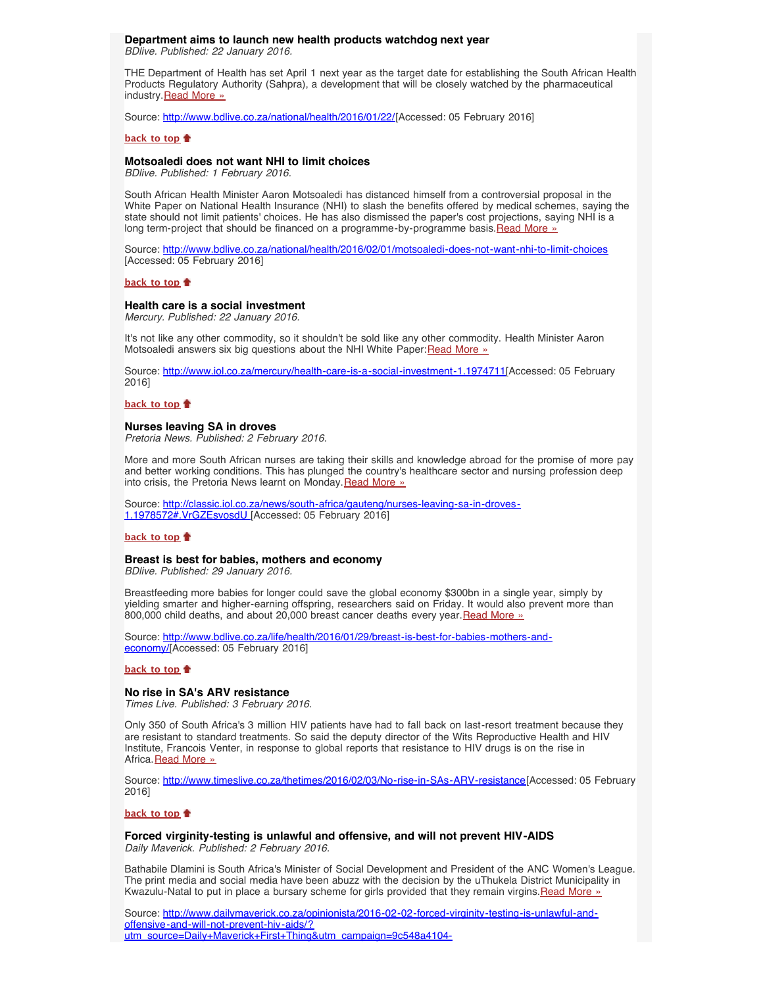# **Department aims to launch new health products watchdog next year**

<span id="page-2-0"></span>*BDlive. Published: 22 January 2016.*

THE Department of Health has set April 1 next year as the target date for establishing the South African Health Products Regulatory Authority (Sahpra), a development that will be closely watched by the pharmaceutical industry. [Read More »](http://www.hst.org.za/news/department-aims-launch-new-health-products-watchdog-next-year)

Source: [http://www.bdlive.co.za/national/health/2016/01/22/\[](http://www.bdlive.co.za/national/health/2016/01/22/department-aims-to-launch-new-health-products-watchdog-next-year)Accessed: 05 February 2016]

## **[back to top](#page-0-3)**

# <span id="page-2-1"></span>**Motsoaledi does not want NHI to limit choices**

*BDlive. Published: 1 February 2016.*

South African Health Minister Aaron Motsoaledi has distanced himself from a controversial proposal in the White Paper on National Health Insurance (NHI) to slash the benefits offered by medical schemes, saying the state should not limit patients' choices. He has also dismissed the paper's cost projections, saying NHI is a long term-project that should be financed on a programme-by-programme basis. [Read More »](http://www.hst.org.za/news/motsoaledi-does-not-want-nhi-limit-choices)

Source: <http://www.bdlive.co.za/national/health/2016/02/01/motsoaledi-does-not-want-nhi-to-limit-choices> [Accessed: 05 February 2016]

## **[back to top](#page-0-3)**

## <span id="page-2-4"></span>**Health care is a social investment**

*Mercury. Published: 22 January 2016.*

It's not like any other commodity, so it shouldn't be sold like any other commodity. Health Minister Aaron Motsoaledi answers six big questions about the NHI White Paper: [Read More »](http://www.hst.org.za/news/health-care-social-investment)

Source: <http://www.iol.co.za/mercury/health-care-is-a-social-investment-1.1974711>[Accessed: 05 February 2016]

## **[back to top](#page-0-3)**

## <span id="page-2-2"></span>**Nurses leaving SA in droves**

*Pretoria News. Published: 2 February 2016.*

More and more South African nurses are taking their skills and knowledge abroad for the promise of more pay and better working conditions. This has plunged the country's healthcare sector and nursing profession deep into crisis, the Pretoria News learnt on Monday. [Read More »](http://www.hst.org.za/news/nurses-leaving-sa-droves)

Source: [http://classic.iol.co.za/news/south-africa/gauteng/nurses-leaving-sa-in-droves-](http://classic.iol.co.za/news/south-africa/gauteng/nurses-leaving-sa-in-droves-1.1978572#.VrGZEsvosdU)[1.1978572#.VrGZEsvosdU](http://classic.iol.co.za/news/south-africa/gauteng/nurses-leaving-sa-in-droves-1.1978572#.VrGZEsvosdU) [Accessed: 05 February 2016]

#### **[back to top](#page-0-3)**

## **Breast is best for babies, mothers and economy**

*BDlive. Published: 29 January 2016.*

Breastfeeding more babies for longer could save the global economy \$300bn in a single year, simply by yielding smarter and higher-earning offspring, researchers said on Friday. It would also prevent more than 800,000 child deaths, and about 20,000 breast cancer deaths every year. [Read More »](http://www.hst.org.za/news/breast-best-babies-mothers-and-economy)

Source: [http://www.bdlive.co.za/life/health/2016/01/29/breast-is-best-for-babies-mothers-and](http://www.bdlive.co.za/life/health/2016/01/29/breast-is-best-for-babies-mothers-and-economy)[economy/](http://www.bdlive.co.za/life/health/2016/01/29/breast-is-best-for-babies-mothers-and-economy)[Accessed: 05 February 2016]

## **[back to top](#page-0-3)**

## <span id="page-2-3"></span>**No rise in SA's ARV resistance**

*Times Live. Published: 3 February 2016.*

Only 350 of South Africa's 3 million HIV patients have had to fall back on last-resort treatment because they are resistant to standard treatments. So said the deputy director of the Wits Reproductive Health and HIV Institute, Francois Venter, in response to global reports that resistance to HIV drugs is on the rise in Africa. [Read More »](http://www.hst.org.za/news/no-rise-sas-arv-resistance)

Source: [http://www.timeslive.co.za/thetimes/2016/02/03/No-rise-in-SAs-ARV-resistance\[](http://www.timeslive.co.za/thetimes/2016/02/03/No-rise-in-SAs-ARV-resistance)Accessed: 05 February 2016]

## **[back to top](#page-0-3)**

**Forced virginity-testing is unlawful and offensive, and will not prevent HIV-AIDS** *Daily Maverick. Published: 2 February 2016.*

Bathabile Dlamini is South Africa's Minister of Social Development and President of the ANC Women's League. The print media and social media have been abuzz with the decision by the uThukela District Municipality in Kwazulu-Natal to put in place a bursary scheme for girls provided that they remain virgins. [Read More »](http://www.hst.org.za/news/forced-virginity-testing-unlawful-and-offensive-and-will-not-prevent-hiv-aids)

Source: [http://www.dailymaverick.co.za/opinionista/2016-02-02-forced-virginity-testing-is-unlawful-and](http://www.dailymaverick.co.za/opinionista/2016-02-02-forced-virginity-testing-is-unlawful-and-offensive-and-will-not-prevent-hiv-aids/?utm_source=Daily+Maverick+First+Thing&utm_campaign=9c548a4104-A_B_Test_Campaign_12_1_2016&utm_medium=email&utm_term=0_c81900545f-9c548a4104-127650657&mc_cid=9c548a4104&mc_eid=a39c6f6642#.VrGNoFIlrIU)[offensive-and-will-not-prevent-hiv-aids/?](http://www.dailymaverick.co.za/opinionista/2016-02-02-forced-virginity-testing-is-unlawful-and-offensive-and-will-not-prevent-hiv-aids/?utm_source=Daily+Maverick+First+Thing&utm_campaign=9c548a4104-A_B_Test_Campaign_12_1_2016&utm_medium=email&utm_term=0_c81900545f-9c548a4104-127650657&mc_cid=9c548a4104&mc_eid=a39c6f6642#.VrGNoFIlrIU) [utm\\_source=Daily+Maverick+First+Thing&utm\\_campaign=9c548a4104-](http://www.dailymaverick.co.za/opinionista/2016-02-02-forced-virginity-testing-is-unlawful-and-offensive-and-will-not-prevent-hiv-aids/?utm_source=Daily+Maverick+First+Thing&utm_campaign=9c548a4104-A_B_Test_Campaign_12_1_2016&utm_medium=email&utm_term=0_c81900545f-9c548a4104-127650657&mc_cid=9c548a4104&mc_eid=a39c6f6642#.VrGNoFIlrIU)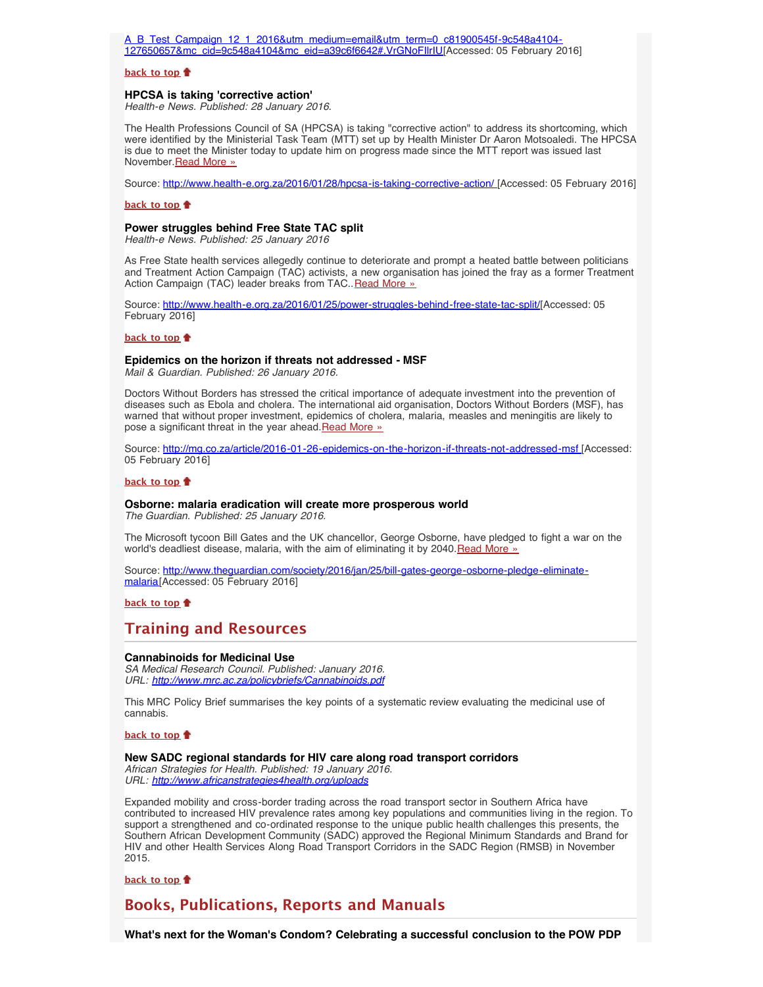[A\\_B\\_Test\\_Campaign\\_12\\_1\\_2016&utm\\_medium=email&utm\\_term=0\\_c81900545f-9c548a4104-](http://www.dailymaverick.co.za/opinionista/2016-02-02-forced-virginity-testing-is-unlawful-and-offensive-and-will-not-prevent-hiv-aids/?utm_source=Daily+Maverick+First+Thing&utm_campaign=9c548a4104-A_B_Test_Campaign_12_1_2016&utm_medium=email&utm_term=0_c81900545f-9c548a4104-127650657&mc_cid=9c548a4104&mc_eid=a39c6f6642#.VrGNoFIlrIU) [127650657&mc\\_cid=9c548a4104&mc\\_eid=a39c6f6642#.VrGNoFIlrIU\[](http://www.dailymaverick.co.za/opinionista/2016-02-02-forced-virginity-testing-is-unlawful-and-offensive-and-will-not-prevent-hiv-aids/?utm_source=Daily+Maverick+First+Thing&utm_campaign=9c548a4104-A_B_Test_Campaign_12_1_2016&utm_medium=email&utm_term=0_c81900545f-9c548a4104-127650657&mc_cid=9c548a4104&mc_eid=a39c6f6642#.VrGNoFIlrIU)Accessed: 05 February 2016]

### **[back to top](#page-0-3)**

### **HPCSA is taking 'corrective action'**

*Health-e News. Published: 28 January 2016.*

The Health Professions Council of SA (HPCSA) is taking "corrective action" to address its shortcoming, which were identified by the Ministerial Task Team (MTT) set up by Health Minister Dr Aaron Motsoaledi. The HPCSA is due to meet the Minister today to update him on progress made since the MTT report was issued last November. [Read More »](http://www.hst.org.za/news/hpcsa-taking-corrective-action)

Source: [http://www.health-e.org.za/2016/01/28/hpcsa-is-taking-corrective-action/ \[](http://www.health-e.org.za/2016/01/28/hpcsa-is-taking-corrective-action/)Accessed: 05 February 2016]

## **[back to top](#page-0-3)**

## **Power struggles behind Free State TAC split**

*Health-e News. Published: 25 January 2016*

As Free State health services allegedly continue to deteriorate and prompt a heated battle between politicians and Treatment Action Campaign (TAC) activists, a new organisation has joined the fray as a former Treatment Action Campaign (TAC) leader breaks from TAC. [Read More »](http://www.hst.org.za/news/treatment-action-campaign-receives-r14m)

Source: [http://www.health-e.org.za/2016/01/25/power-struggles-behind-free-state-tac-split/\[](http://www.health-e.org.za/2016/01/25/power-struggles-behind-free-state-tac-split/)Accessed: 05 February 2016]

#### **[back to top](#page-0-3)**

#### **Epidemics on the horizon if threats not addressed - MSF**

*Mail & Guardian. Published: 26 January 2016.*

Doctors Without Borders has stressed the critical importance of adequate investment into the prevention of diseases such as Ebola and cholera. The international aid organisation, Doctors Without Borders (MSF), has warned that without proper investment, epidemics of cholera, malaria, measles and meningitis are likely to pose a significant threat in the year ahead. [Read More »](http://www.hst.org.za/news/epidemics-horizon-if-threats-not-addressed-msf)

Source: [http://mg.co.za/article/2016-01-26-epidemics-on-the-horizon-if-threats-not-addressed-msf \[](http://mg.co.za/article/2016-01-26-epidemics-on-the-horizon-if-threats-not-addressed-msf)Accessed: 05 February 2016]

#### **[back to top](#page-0-3)**

#### <span id="page-3-0"></span>**Osborne: malaria eradication will create more prosperous world**

*The Guardian. Published: 25 January 2016.*

The Microsoft tycoon Bill Gates and the UK chancellor, George Osborne, have pledged to fight a war on the world's deadliest disease, malaria, with the aim of eliminating it by 2040. [Read More »](http://www.hst.org.za/news/osborne-malaria-eradication-will-create-more-prosperous-world)

Source: [http://www.theguardian.com/society/2016/jan/25/bill-gates-george-osborne-pledge-eliminate](http://www.theguardian.com/society/2016/jan/25/bill-gates-george-osborne-pledge-eliminate-malaria)[malaria\[](http://www.theguardian.com/society/2016/jan/25/bill-gates-george-osborne-pledge-eliminate-malaria)Accessed: 05 February 2016]

**[back to top](#page-0-3)**

# **Training and Resources**

#### **Cannabinoids for Medicinal Use**

*SA Medical Research Council. Published: January 2016. URL: <http://www.mrc.ac.za/policybriefs/Cannabinoids.pdf>*

This MRC Policy Brief summarises the key points of a systematic review evaluating the medicinal use of cannabis.

#### **[back to top](#page-0-3)**

### <span id="page-3-1"></span>**New SADC regional standards for HIV care along road transport corridors**

*African Strategies for Health. Published: 19 January 2016. URL: [http://www.africanstrategies4health.org/uploads](http://www.africanstrategies4health.org/uploads/1/3/5/3/13538666/rmsb_for_hiv_and_other_health_services_along_the_road_transport_corridors_in_the_sadc_region.print.pdf)*

Expanded mobility and cross-border trading across the road transport sector in Southern Africa have contributed to increased HIV prevalence rates among key populations and communities living in the region. To support a strengthened and co-ordinated response to the unique public health challenges this presents, the Southern African Development Community (SADC) approved the Regional Minimum Standards and Brand for HIV and other Health Services Along Road Transport Corridors in the SADC Region (RMSB) in November 2015.

**[back to top](#page-0-3)**

# <span id="page-3-2"></span>**Books, Publications, Reports and Manuals**

**What's next for the Woman's Condom? Celebrating a successful conclusion to the POW PDP**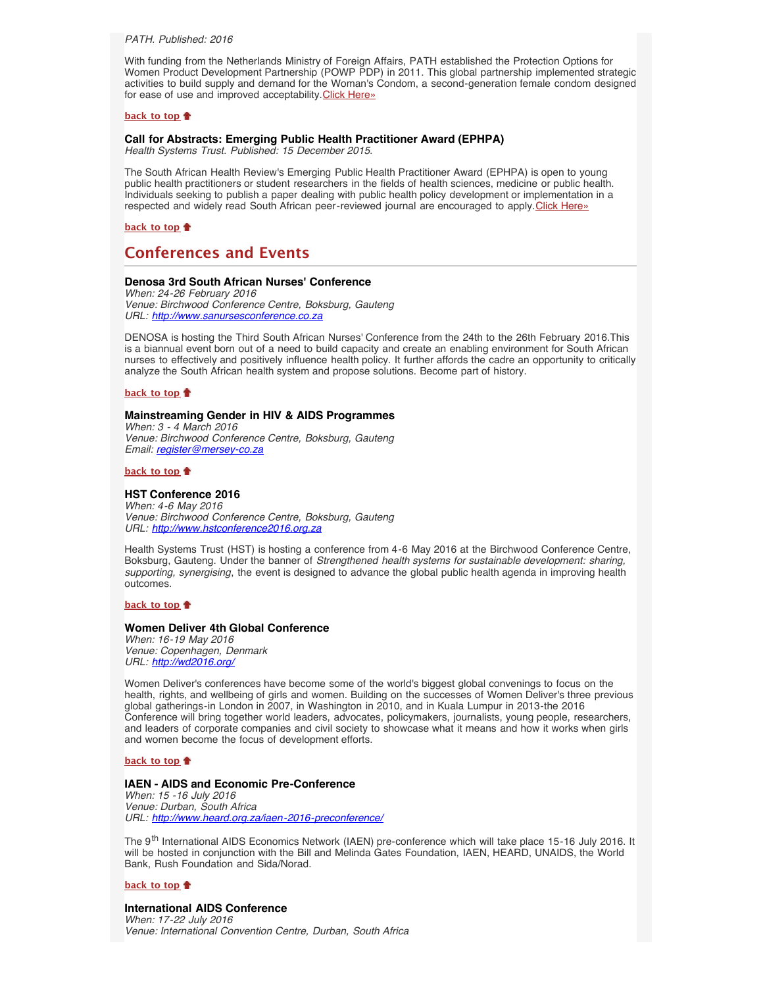*PATH. Published: 2016*

With funding from the Netherlands Ministry of Foreign Affairs, PATH established the Protection Options for Women Product Development Partnership (POWP PDP) in 2011. This global partnership implemented strategic activities to build supply and demand for the Woman's Condom, a second-generation female condom designed for ease of use and improved acceptability. [Click Here»](http://www.womanscondompowpdp.com/read-the-reports/)

## **[back to top](#page-0-3)**

## <span id="page-4-0"></span>**Call for Abstracts: Emerging Public Health Practitioner Award (EPHPA)**

*Health Systems Trust. Published: 15 December 2015.*

The South African Health Review's Emerging Public Health Practitioner Award (EPHPA) is open to young public health practitioners or student researchers in the fields of health sciences, medicine or public health. Individuals seeking to publish a paper dealing with public health policy development or implementation in a respected and widely read South African peer-reviewed journal are encouraged to apply. [Click Here»](http://www.hst.org.za/news/2016-ephpa-award)

**[back to top](#page-0-3)**

# <span id="page-4-1"></span>**Conferences and Events**

## **Denosa 3rd South African Nurses' Conference**

*When: 24-26 February 2016 Venue: Birchwood Conference Centre, Boksburg, Gauteng URL: [http://www.sanursesconference.co.za](http://www.sanursesconference.co.za/)*

DENOSA is hosting the Third South African Nurses' Conference from the 24th to the 26th February 2016.This is a biannual event born out of a need to build capacity and create an enabling environment for South African nurses to effectively and positively influence health policy. It further affords the cadre an opportunity to critically analyze the South African health system and propose solutions. Become part of history.

#### **[back to top](#page-0-3)**

## **Mainstreaming Gender in HIV & AIDS Programmes**

*When: 3 - 4 March 2016 Venue: Birchwood Conference Centre, Boksburg, Gauteng Email: [register@mersey-co.za](file:///Users/DTP/Desktop/register@mersey-co.za)*

**[back to top](#page-0-3)**

## **HST Conference 2016**

*When: 4-6 May 2016 Venue: Birchwood Conference Centre, Boksburg, Gauteng URL: [http://www.hstconference2016.org.za](http://www.hstconference2016.org.za/)*

Health Systems Trust (HST) is hosting a conference from 4-6 May 2016 at the Birchwood Conference Centre, Boksburg, Gauteng. Under the banner of *Strengthened health systems for sustainable development: sharing, supporting, synergising*, the event is designed to advance the global public health agenda in improving health outcomes.

#### **[back to top](#page-0-3)**

## **Women Deliver 4th Global Conference**

*When: 16-19 May 2016 Venue: Copenhagen, Denmark URL: <http://wd2016.org/>*

Women Deliver's conferences have become some of the world's biggest global convenings to focus on the health, rights, and wellbeing of girls and women. Building on the successes of Women Deliver's three previous global gatherings-in London in 2007, in Washington in 2010, and in Kuala Lumpur in 2013-the 2016 Conference will bring together world leaders, advocates, policymakers, journalists, young people, researchers, and leaders of corporate companies and civil society to showcase what it means and how it works when girls and women become the focus of development efforts.

## **[back to top](#page-0-3)**

## **IAEN - AIDS and Economic Pre-Conference**

*When: 15 -16 July 2016 Venue: Durban, South Africa URL: <http://www.heard.org.za/iaen-2016-preconference/>*

The 9th International AIDS Economics Network (IAEN) pre-conference which will take place 15-16 July 2016. It will be hosted in conjunction with the Bill and Melinda Gates Foundation, IAEN, HEARD, UNAIDS, the World Bank, Rush Foundation and Sida/Norad.

## **[back to top](#page-0-3)**

### **International AIDS Conference** *When: 17-22 July 2016*

*Venue: International Convention Centre, Durban, South Africa*